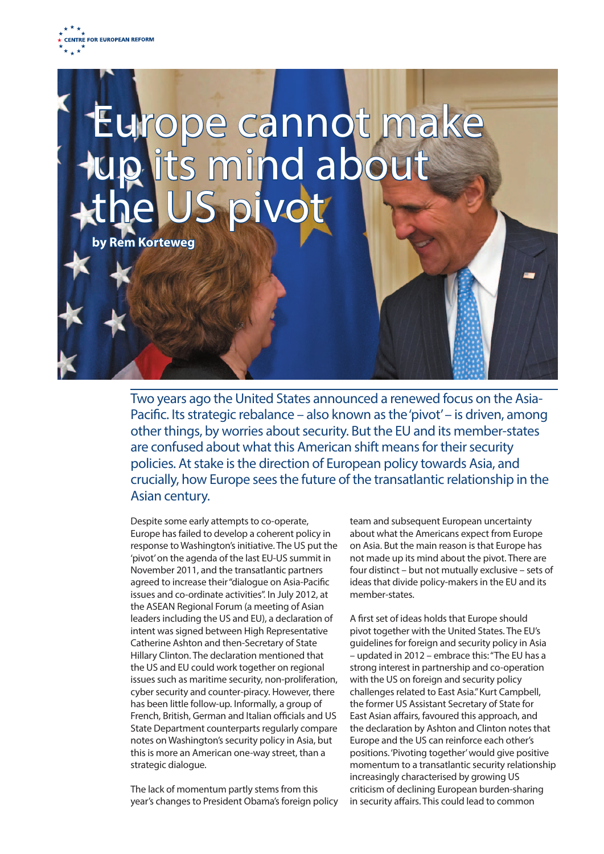

## Europe cannot make<br>up its mind about<br>the US pivot

**Rem Korteweg** 

Two years ago the United States announced a renewed focus on the Asia-Pacific. Its strategic rebalance – also known as the 'pivot' – is driven, among other things, by worries about security. But the EU and its member-states are confused about what this American shift means for their security policies. At stake is the direction of European policy towards Asia, and crucially, how Europe sees the future of the transatlantic relationship in the Asian century.

Despite some early attempts to co-operate, Europe has failed to develop a coherent policy in response to Washington's initiative. The US put the 'pivot' on the agenda of the last EU-US summit in November 2011, and the transatlantic partners agreed to increase their "dialogue on Asia-Pacific issues and co-ordinate activities". In July 2012, at the ASEAN Regional Forum (a meeting of Asian leaders including the US and EU), a declaration of intent was signed between High Representative Catherine Ashton and then-Secretary of State Hillary Clinton. The declaration mentioned that the US and EU could work together on regional issues such as maritime security, non-proliferation, cyber security and counter-piracy. However, there has been little follow-up. Informally, a group of French, British, German and Italian officials and US State Department counterparts regularly compare notes on Washington's security policy in Asia, but this is more an American one-way street, than a strategic dialogue.

The lack of momentum partly stems from this year's changes to President Obama's foreign policy

team and subsequent European uncertainty about what the Americans expect from Europe on Asia. But the main reason is that Europe has not made up its mind about the pivot. There are four distinct – but not mutually exclusive – sets of ideas that divide policy-makers in the EU and its member-states.

A first set of ideas holds that Europe should pivot together with the United States. The EU's guidelines for foreign and security policy in Asia – updated in 2012 – embrace this: "The EU has a strong interest in partnership and co-operation with the US on foreign and security policy challenges related to East Asia." Kurt Campbell, the former US Assistant Secretary of State for East Asian affairs, favoured this approach, and the declaration by Ashton and Clinton notes that Europe and the US can reinforce each other's positions. 'Pivoting together' would give positive momentum to a transatlantic security relationship increasingly characterised by growing US criticism of declining European burden-sharing in security affairs. This could lead to common